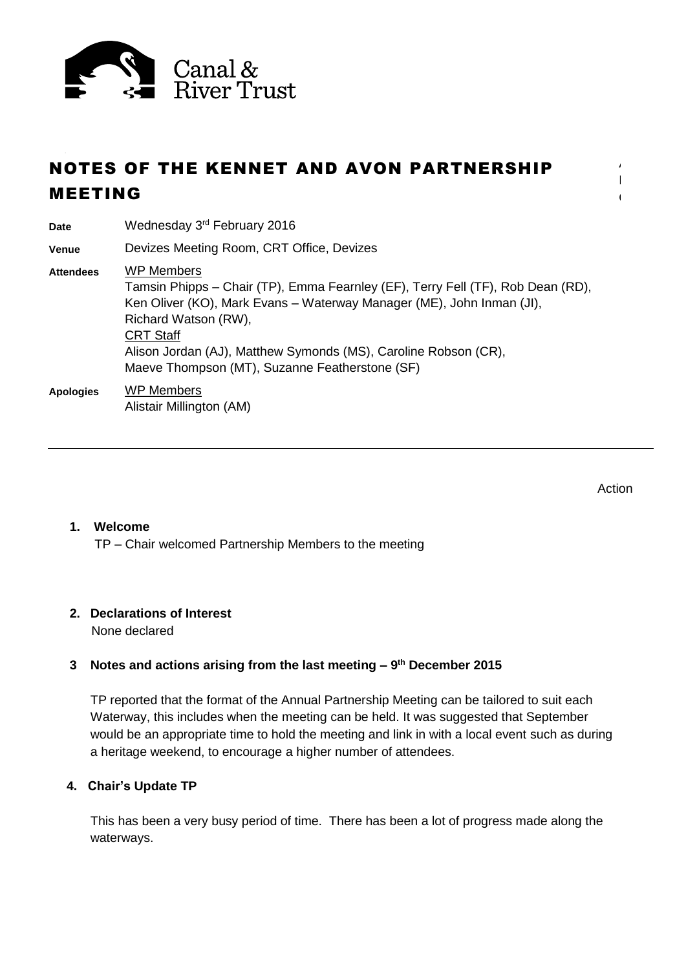

# NOTES OF THE KENNET AND AVON PARTNERSHIP MEETING

**Date** Wednesday 3rd February 2016

**Venue** Devizes Meeting Room, CRT Office, Devizes

**Attendees** WP Members Tamsin Phipps – Chair (TP), Emma Fearnley (EF), Terry Fell (TF), Rob Dean (RD), Ken Oliver (KO), Mark Evans – Waterway Manager (ME), John Inman (JI), Richard Watson (RW), CRT Staff Alison Jordan (AJ), Matthew Symonds (MS), Caroline Robson (CR), Maeve Thompson (MT), Suzanne Featherstone (SF)

**Apologies** WP Members Alistair Millington (AM)

Action

A  $\mathbb{R}^n$  $\mathbb{C}$ 

## **1. Welcome**

TP – Chair welcomed Partnership Members to the meeting

## **2. Declarations of Interest**

None declared

## **3 Notes and actions arising from the last meeting – 9 th December 2015**

TP reported that the format of the Annual Partnership Meeting can be tailored to suit each Waterway, this includes when the meeting can be held. It was suggested that September would be an appropriate time to hold the meeting and link in with a local event such as during a heritage weekend, to encourage a higher number of attendees.

## **4. Chair's Update TP**

This has been a very busy period of time. There has been a lot of progress made along the waterways.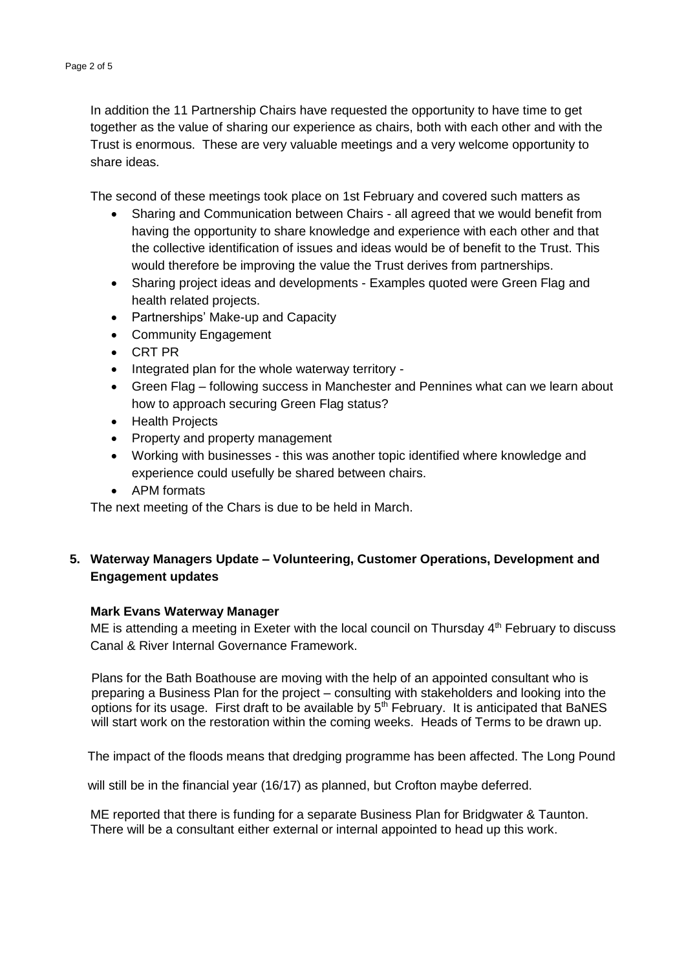In addition the 11 Partnership Chairs have requested the opportunity to have time to get together as the value of sharing our experience as chairs, both with each other and with the Trust is enormous. These are very valuable meetings and a very welcome opportunity to share ideas.

The second of these meetings took place on 1st February and covered such matters as

- Sharing and Communication between Chairs all agreed that we would benefit from having the opportunity to share knowledge and experience with each other and that the collective identification of issues and ideas would be of benefit to the Trust. This would therefore be improving the value the Trust derives from partnerships.
- Sharing project ideas and developments Examples quoted were Green Flag and health related projects.
- Partnerships' Make-up and Capacity
- Community Engagement
- CRT PR
- Integrated plan for the whole waterway territory -
- Green Flag following success in Manchester and Pennines what can we learn about how to approach securing Green Flag status?
- Health Projects
- Property and property management
- Working with businesses this was another topic identified where knowledge and experience could usefully be shared between chairs.
- APM formats

The next meeting of the Chars is due to be held in March.

## **5. Waterway Managers Update – Volunteering, Customer Operations, Development and Engagement updates**

#### **Mark Evans Waterway Manager**

ME is attending a meeting in Exeter with the local council on Thursday  $4<sup>th</sup>$  February to discuss Canal & River [Internal Governance](http://gateway/Standards/Pages/InternalGovernanceFramework.aspx) Framework.

 Plans for the Bath Boathouse are moving with the help of an appointed consultant who is preparing a Business Plan for the project – consulting with stakeholders and looking into the options for its usage. First draft to be available by  $5<sup>th</sup>$  February. It is anticipated that BaNES will start work on the restoration within the coming weeks. Heads of Terms to be drawn up.

The impact of the floods means that dredging programme has been affected. The Long Pound

will still be in the financial year (16/17) as planned, but Crofton maybe deferred.

ME reported that there is funding for a separate Business Plan for Bridgwater & Taunton. There will be a consultant either external or internal appointed to head up this work.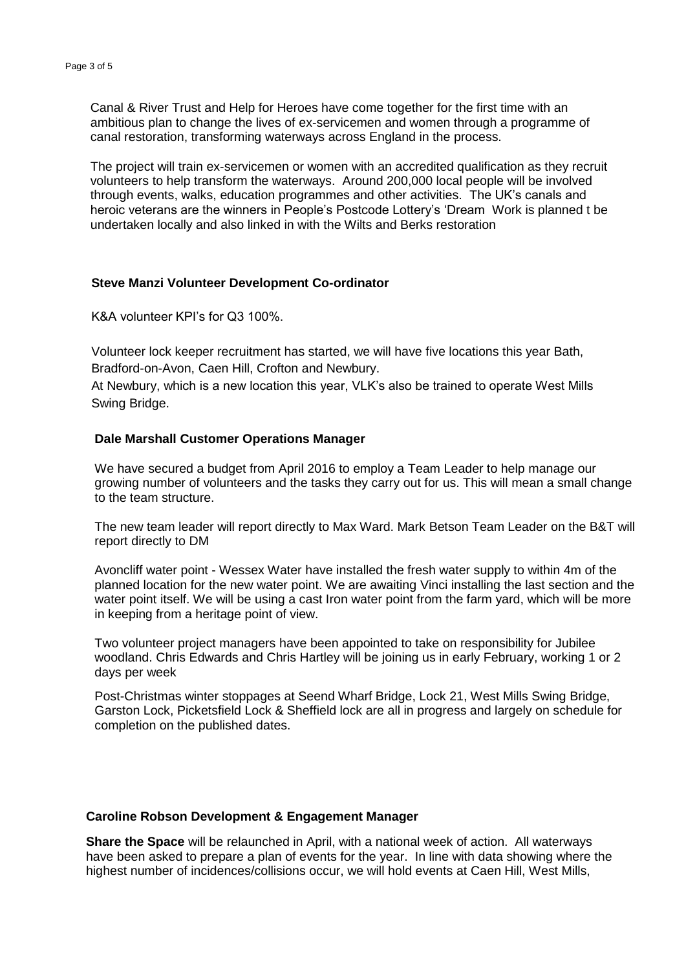Canal & River Trust and Help for Heroes have come together for the first time with an ambitious plan to change the lives of ex-servicemen and women through a programme of canal restoration, transforming waterways across England in the process.

The project will train ex-servicemen or women with an accredited qualification as they recruit volunteers to help transform the waterways. Around 200,000 local people will be involved through events, walks, education programmes and other activities. The UK's canals and heroic veterans are the winners in People's Postcode Lottery's 'Dream Work is planned t be undertaken locally and also linked in with the Wilts and Berks restoration

#### **Steve Manzi Volunteer Development Co-ordinator**

K&A volunteer KPI's for Q3 100%.

 Volunteer lock keeper recruitment has started, we will have five locations this year Bath, Bradford-on-Avon, Caen Hill, Crofton and Newbury.

 At Newbury, which is a new location this year, VLK's also be trained to operate West Mills Swing Bridge.

## **Dale Marshall Customer Operations Manager**

N growing number of volunteers and the tasks they carry out for us. This will mean a small change O We have secured a budget from April 2016 to employ a Team Leader to help manage our to the team structure.

 $\mathbf{I}$  is used by  $\mathbf{I}$ The new team leader will report directly to Max Ward. Mark Betson Team Leader on the B&T will report directly to DM

Avoncliff water point - Wessex Water have installed the fresh water supply to within 4m of the planned location for the new water point. We are awaiting Vinci installing the last section and the water point itself. We will be using a cast Iron water point from the farm yard, which will be more in keeping from a heritage point of view.

Two volunteer project managers have been appointed to take on responsibility for Jubilee woodland. Chris Edwards and Chris Hartley will be joining us in early February, working 1 or 2 days per week

Post-Christmas winter stoppages at Seend Wharf Bridge, Lock 21, West Mills Swing Bridge, Garston Lock, Picketsfield Lock & Sheffield lock are all in progress and largely on schedule for completion on the published dates.

#### **Caroline Robson Development & Engagement Manager**

**Share the Space** will be relaunched in April, with a national week of action. All waterways have been asked to prepare a plan of events for the year. In line with data showing where the highest number of incidences/collisions occur, we will hold events at Caen Hill, West Mills,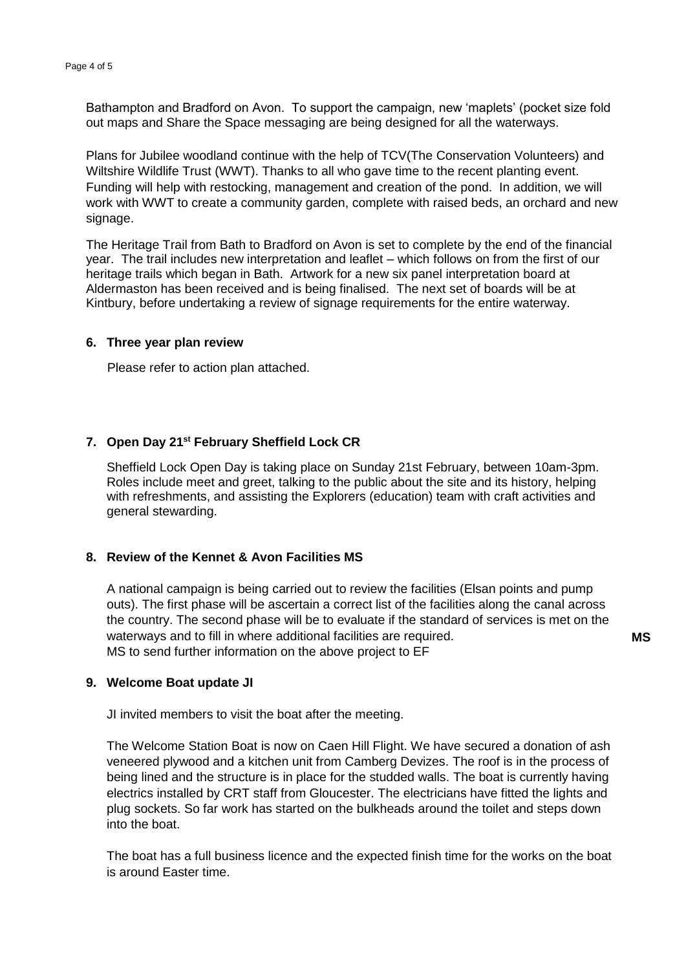Bathampton and Bradford on Avon. To support the campaign, new 'maplets' (pocket size fold out maps and Share the Space messaging are being designed for all the waterways.

Plans for Jubilee woodland continue with the help of TCV(The Conservation Volunteers) and Wiltshire Wildlife Trust (WWT). Thanks to all who gave time to the recent planting event. Funding will help with restocking, management and creation of the pond. In addition, we will work with WWT to create a community garden, complete with raised beds, an orchard and new signage.

The Heritage Trail from Bath to Bradford on Avon is set to complete by the end of the financial year. The trail includes new interpretation and leaflet – which follows on from the first of our heritage trails which began in Bath. Artwork for a new six panel interpretation board at Aldermaston has been received and is being finalised. The next set of boards will be at Kintbury, before undertaking a review of signage requirements for the entire waterway.

#### **6. Three year plan review**

Please refer to action plan attached.

## **7. Open Day 21st February Sheffield Lock CR**

Sheffield Lock Open Day is taking place on Sunday 21st February, between 10am-3pm. Roles include meet and greet, talking to the public about the site and its history, helping with refreshments, and assisting the Explorers (education) team with craft activities and general stewarding.

## **8. Review of the Kennet & Avon Facilities MS**

A national campaign is being carried out to review the facilities (Elsan points and pump outs). The first phase will be ascertain a correct list of the facilities along the canal across the country. The second phase will be to evaluate if the standard of services is met on the waterways and to fill in where additional facilities are required. MS to send further information on the above project to EF

# **9. Welcome Boat update JI**

JI invited members to visit the boat after the meeting.

The Welcome Station Boat is now on Caen Hill Flight. We have secured a donation of ash veneered plywood and a kitchen unit from Camberg Devizes. The roof is in the process of being lined and the structure is in place for the studded walls. The boat is currently having electrics installed by CRT staff from Gloucester. The electricians have fitted the lights and plug sockets. So far work has started on the bulkheads around the toilet and steps down into the boat.

The boat has a full business licence and the expected finish time for the works on the boat is around Easter time.